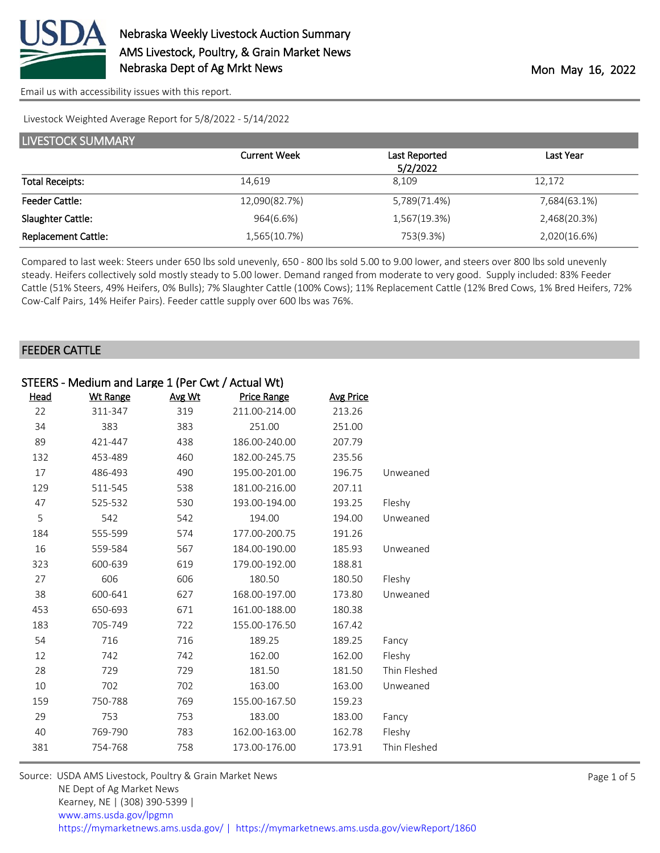

[Email us with accessibility issues with this report.](mailto:mars@ams.usda.gov?subject=508%20issue)

Livestock Weighted Average Report for 5/8/2022 - 5/14/2022

| LIVESTOCK SUMMARY          |                     |               |              |  |  |  |  |
|----------------------------|---------------------|---------------|--------------|--|--|--|--|
|                            | <b>Current Week</b> | Last Reported | Last Year    |  |  |  |  |
|                            |                     | 5/2/2022      |              |  |  |  |  |
| <b>Total Receipts:</b>     | 14,619              | 8.109         | 12,172       |  |  |  |  |
| <b>Feeder Cattle:</b>      | 12,090(82.7%)       | 5,789(71.4%)  | 7,684(63.1%) |  |  |  |  |
| Slaughter Cattle:          | 964(6.6%)           | 1,567(19.3%)  | 2,468(20.3%) |  |  |  |  |
| <b>Replacement Cattle:</b> | 1,565(10.7%)        | 753(9.3%)     | 2,020(16.6%) |  |  |  |  |

Compared to last week: Steers under 650 lbs sold unevenly, 650 - 800 lbs sold 5.00 to 9.00 lower, and steers over 800 lbs sold unevenly steady. Heifers collectively sold mostly steady to 5.00 lower. Demand ranged from moderate to very good. Supply included: 83% Feeder Cattle (51% Steers, 49% Heifers, 0% Bulls); 7% Slaughter Cattle (100% Cows); 11% Replacement Cattle (12% Bred Cows, 1% Bred Heifers, 72% Cow-Calf Pairs, 14% Heifer Pairs). Feeder cattle supply over 600 lbs was 76%.

#### FEEDER CATTLE

|             | STEERS - Medium and Large 1 (Per Cwt / Actual Wt) |        |                    |                  |              |  |  |
|-------------|---------------------------------------------------|--------|--------------------|------------------|--------------|--|--|
| <u>Head</u> | <b>Wt Range</b>                                   | Avg Wt | <b>Price Range</b> | <b>Avg Price</b> |              |  |  |
| 22          | 311-347                                           | 319    | 211.00-214.00      | 213.26           |              |  |  |
| 34          | 383                                               | 383    | 251.00             | 251.00           |              |  |  |
| 89          | 421-447                                           | 438    | 186.00-240.00      | 207.79           |              |  |  |
| 132         | 453-489                                           | 460    | 182.00-245.75      | 235.56           |              |  |  |
| 17          | 486-493                                           | 490    | 195.00-201.00      | 196.75           | Unweaned     |  |  |
| 129         | 511-545                                           | 538    | 181.00-216.00      | 207.11           |              |  |  |
| 47          | 525-532                                           | 530    | 193.00-194.00      | 193.25           | Fleshy       |  |  |
| 5           | 542                                               | 542    | 194.00             | 194.00           | Unweaned     |  |  |
| 184         | 555-599                                           | 574    | 177.00-200.75      | 191.26           |              |  |  |
| 16          | 559-584                                           | 567    | 184.00-190.00      | 185.93           | Unweaned     |  |  |
| 323         | 600-639                                           | 619    | 179.00-192.00      | 188.81           |              |  |  |
| 27          | 606                                               | 606    | 180.50             | 180.50           | Fleshy       |  |  |
| 38          | 600-641                                           | 627    | 168.00-197.00      | 173.80           | Unweaned     |  |  |
| 453         | 650-693                                           | 671    | 161.00-188.00      | 180.38           |              |  |  |
| 183         | 705-749                                           | 722    | 155.00-176.50      | 167.42           |              |  |  |
| 54          | 716                                               | 716    | 189.25             | 189.25           | Fancy        |  |  |
| 12          | 742                                               | 742    | 162.00             | 162.00           | Fleshy       |  |  |
| 28          | 729                                               | 729    | 181.50             | 181.50           | Thin Fleshed |  |  |
| 10          | 702                                               | 702    | 163.00             | 163.00           | Unweaned     |  |  |
| 159         | 750-788                                           | 769    | 155.00-167.50      | 159.23           |              |  |  |
| 29          | 753                                               | 753    | 183.00             | 183.00           | Fancy        |  |  |
| 40          | 769-790                                           | 783    | 162.00-163.00      | 162.78           | Fleshy       |  |  |
| 381         | 754-768                                           | 758    | 173.00-176.00      | 173.91           | Thin Fleshed |  |  |

| Source: USDA AMS Livestock, Poultry & Grain Market News                                |
|----------------------------------------------------------------------------------------|
| NE Dept of Ag Market News                                                              |
| Kearney, NE   (308) 390-5399                                                           |
| www.ams.usda.gov/lpgmn                                                                 |
| https://mymarketnews.ams.usda.gov/   https://mymarketnews.ams.usda.gov/viewReport/1860 |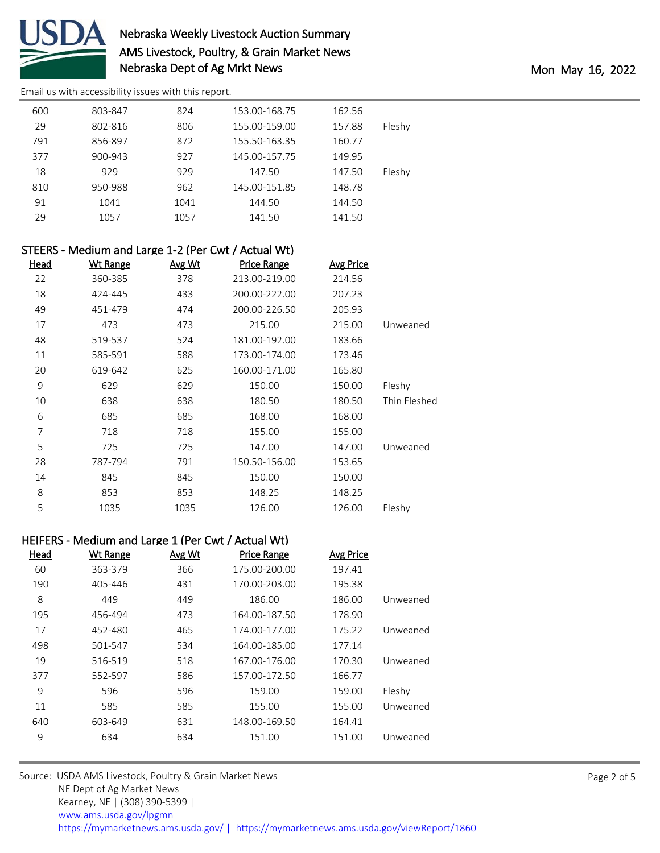

# Nebraska Weekly Livestock Auction Summary AMS Livestock, Poultry, & Grain Market News Nebraska Dept of Ag Mrkt News and the Monte of Age Mon May 16, 2022

[Email us with accessibility issues with this report.](mailto:mars@ams.usda.gov?subject=508%20issue)

| 600 | 803-847 | 824  | 153.00-168.75 | 162.56 |        |
|-----|---------|------|---------------|--------|--------|
| 29  | 802-816 | 806  | 155.00-159.00 | 157.88 | Fleshy |
| 791 | 856-897 | 872  | 155.50-163.35 | 160.77 |        |
| 377 | 900-943 | 927  | 145.00-157.75 | 149.95 |        |
| 18  | 929     | 929  | 147.50        | 147.50 | Fleshy |
| 810 | 950-988 | 962  | 145.00-151.85 | 148.78 |        |
| 91  | 1041    | 1041 | 144.50        | 144.50 |        |
| 29  | 1057    | 1057 | 141.50        | 141.50 |        |
|     |         |      |               |        |        |

|      | STEERS - Medium and Large 1-2 (Per Cwt / Actual Wt) |        |                    |                  |              |
|------|-----------------------------------------------------|--------|--------------------|------------------|--------------|
| Head | <b>Wt Range</b>                                     | Avg Wt | <b>Price Range</b> | <b>Avg Price</b> |              |
| 22   | 360-385                                             | 378    | 213.00-219.00      | 214.56           |              |
| 18   | 424-445                                             | 433    | 200.00-222.00      | 207.23           |              |
| 49   | 451-479                                             | 474    | 200.00-226.50      | 205.93           |              |
| 17   | 473                                                 | 473    | 215.00             | 215.00           | Unweaned     |
| 48   | 519-537                                             | 524    | 181.00-192.00      | 183.66           |              |
| 11   | 585-591                                             | 588    | 173.00-174.00      | 173.46           |              |
| 20   | 619-642                                             | 625    | 160.00-171.00      | 165.80           |              |
| 9    | 629                                                 | 629    | 150.00             | 150.00           | Fleshy       |
| 10   | 638                                                 | 638    | 180.50             | 180.50           | Thin Fleshed |
| 6    | 685                                                 | 685    | 168.00             | 168.00           |              |
| 7    | 718                                                 | 718    | 155.00             | 155.00           |              |
| 5    | 725                                                 | 725    | 147.00             | 147.00           | Unweaned     |
| 28   | 787-794                                             | 791    | 150.50-156.00      | 153.65           |              |
| 14   | 845                                                 | 845    | 150.00             | 150.00           |              |
| 8    | 853                                                 | 853    | 148.25             | 148.25           |              |
| 5    | 1035                                                | 1035   | 126.00             | 126.00           | Fleshy       |

## HEIFERS - Medium and Large 1 (Per Cwt / Actual Wt)

| Head | <b>Wt Range</b> | Avg Wt | <b>Price Range</b> | <b>Avg Price</b> |          |
|------|-----------------|--------|--------------------|------------------|----------|
| 60   | 363-379         | 366    | 175.00-200.00      | 197.41           |          |
| 190  | 405-446         | 431    | 170.00-203.00      | 195.38           |          |
| 8    | 449             | 449    | 186.00             | 186.00           | Unweaned |
| 195  | 456-494         | 473    | 164.00-187.50      | 178.90           |          |
| 17   | 452-480         | 465    | 174.00-177.00      | 175.22           | Unweaned |
| 498  | 501-547         | 534    | 164.00-185.00      | 177.14           |          |
| 19   | 516-519         | 518    | 167.00-176.00      | 170.30           | Unweaned |
| 377  | 552-597         | 586    | 157.00-172.50      | 166.77           |          |
| 9    | 596             | 596    | 159.00             | 159.00           | Fleshy   |
| 11   | 585             | 585    | 155.00             | 155.00           | Unweaned |
| 640  | 603-649         | 631    | 148.00-169.50      | 164.41           |          |
| 9    | 634             | 634    | 151.00             | 151.00           | Unweaned |

| Source: USDA AMS Livestock, Poultry & Grain Market News                                |
|----------------------------------------------------------------------------------------|
| NE Dept of Ag Market News                                                              |
| Kearney, NE   (308) 390-5399                                                           |
| www.ams.usda.gov/lpgmn                                                                 |
| https://mymarketnews.ams.usda.gov/   https://mymarketnews.ams.usda.gov/viewReport/1860 |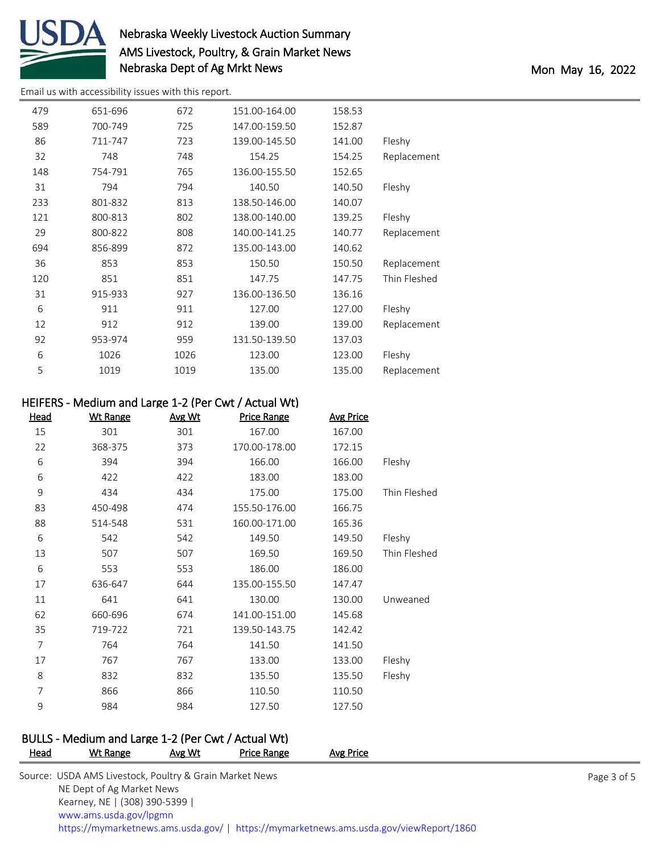

# Nebraska Weekly Livestock Auction Summary AMS Livestock, Poultry, & Grain Market News Nebraska Dept of Ag Mrkt News and the Monte of Age Mon May 16, 2022

[Email us with accessibility issues with this report.](mailto:mars@ams.usda.gov?subject=508%20issue)

| 479 | 651-696 | 672  | 151.00-164.00 | 158.53 |              |
|-----|---------|------|---------------|--------|--------------|
| 589 | 700-749 | 725  | 147.00-159.50 | 152.87 |              |
| 86  | 711-747 | 723  | 139.00-145.50 | 141.00 | Fleshy       |
| 32  | 748     | 748  | 154.25        | 154.25 | Replacement  |
| 148 | 754-791 | 765  | 136.00-155.50 | 152.65 |              |
| 31  | 794     | 794  | 140.50        | 140.50 | Fleshy       |
| 233 | 801-832 | 813  | 138.50-146.00 | 140.07 |              |
| 121 | 800-813 | 802  | 138.00-140.00 | 139.25 | Fleshy       |
| 29  | 800-822 | 808  | 140.00-141.25 | 140.77 | Replacement  |
| 694 | 856-899 | 872  | 135.00-143.00 | 140.62 |              |
| 36  | 853     | 853  | 150.50        | 150.50 | Replacement  |
| 120 | 851     | 851  | 147.75        | 147.75 | Thin Fleshed |
| 31  | 915-933 | 927  | 136.00-136.50 | 136.16 |              |
| 6   | 911     | 911  | 127.00        | 127.00 | Fleshy       |
| 12  | 912     | 912  | 139.00        | 139.00 | Replacement  |
| 92  | 953-974 | 959  | 131.50-139.50 | 137.03 |              |
| 6   | 1026    | 1026 | 123.00        | 123.00 | Fleshy       |
| 5   | 1019    | 1019 | 135.00        | 135.00 | Replacement  |
|     |         |      |               |        |              |

### HEIFERS - Medium and Large 1-2 (Per Cwt / Actual Wt)

| <u>Head</u>    | <b>Wt Range</b> | Avg Wt | <b>Price Range</b> | <b>Avg Price</b> |              |
|----------------|-----------------|--------|--------------------|------------------|--------------|
| 15             | 301             | 301    | 167.00             | 167.00           |              |
| 22             | 368-375         | 373    | 170.00-178.00      | 172.15           |              |
| 6              | 394             | 394    | 166.00             | 166.00           | Fleshy       |
| 6              | 422             | 422    | 183.00             | 183.00           |              |
| 9              | 434             | 434    | 175.00             | 175.00           | Thin Fleshed |
| 83             | 450-498         | 474    | 155.50-176.00      | 166.75           |              |
| 88             | 514-548         | 531    | 160.00-171.00      | 165.36           |              |
| 6              | 542             | 542    | 149.50             | 149.50           | Fleshy       |
| 13             | 507             | 507    | 169.50             | 169.50           | Thin Fleshed |
| 6              | 553             | 553    | 186.00             | 186.00           |              |
| 17             | 636-647         | 644    | 135.00-155.50      | 147.47           |              |
| 11             | 641             | 641    | 130.00             | 130.00           | Unweaned     |
| 62             | 660-696         | 674    | 141.00-151.00      | 145.68           |              |
| 35             | 719-722         | 721    | 139.50-143.75      | 142.42           |              |
| 7              | 764             | 764    | 141.50             | 141.50           |              |
| 17             | 767             | 767    | 133.00             | 133.00           | Fleshy       |
| 8              | 832             | 832    | 135.50             | 135.50           | Fleshy       |
| $\overline{7}$ | 866             | 866    | 110.50             | 110.50           |              |
| 9              | 984             | 984    | 127.50             | 127.50           |              |

#### BULLS - Medium and Large 1-2 (Per Cwt / Actual Wt) Price Range Avg Price

| . | .<br>.<br>.<br>.                                                                       |
|---|----------------------------------------------------------------------------------------|
|   | Source: USDA AMS Livestock, Poultry & Grain Market News                                |
|   | NE Dept of Ag Market News                                                              |
|   | Kearney, NE   (308) 390-5399                                                           |
|   | www.ams.usda.gov/lpgmn                                                                 |
|   | https://mymarketnews.ams.usda.gov/   https://mymarketnews.ams.usda.gov/viewReport/1860 |

Page 3 of 5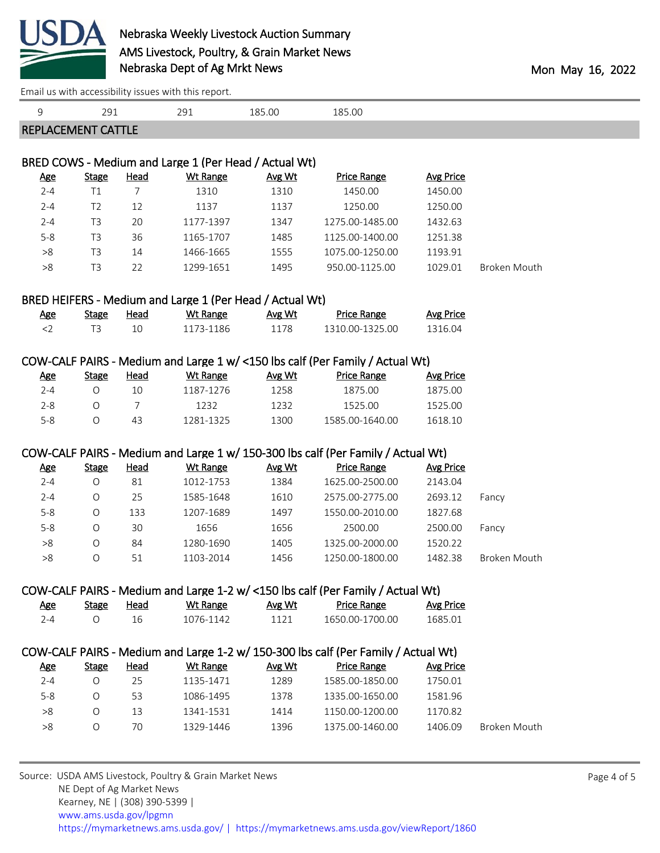

[Email us with accessibility issues with this report.](mailto:mars@ams.usda.gov?subject=508%20issue)

| 9                     | 291                       |                           | 291                                                      | 185.00         | 185.00                                                                             |                             |                     |             |
|-----------------------|---------------------------|---------------------------|----------------------------------------------------------|----------------|------------------------------------------------------------------------------------|-----------------------------|---------------------|-------------|
|                       | <b>REPLACEMENT CATTLE</b> |                           |                                                          |                |                                                                                    |                             |                     |             |
|                       |                           |                           |                                                          |                |                                                                                    |                             |                     |             |
|                       |                           |                           | BRED COWS - Medium and Large 1 (Per Head / Actual Wt)    |                |                                                                                    |                             |                     |             |
| <b>Age</b>            | <b>Stage</b>              | <b>Head</b>               | <b>Wt Range</b>                                          | Avg Wt         | <b>Price Range</b>                                                                 | <b>Avg Price</b>            |                     |             |
| $2 - 4$               | T1                        | $\overline{7}$            | 1310                                                     | 1310           | 1450.00                                                                            | 1450.00                     |                     |             |
| $2 - 4$               | T <sub>2</sub>            | 12                        | 1137                                                     | 1137           | 1250.00                                                                            | 1250.00                     |                     |             |
| $2 - 4$               | T <sub>3</sub>            | 20                        | 1177-1397                                                | 1347           | 1275.00-1485.00                                                                    | 1432.63                     |                     |             |
| $5-8$                 | T <sub>3</sub>            | 36                        | 1165-1707                                                | 1485           | 1125.00-1400.00                                                                    | 1251.38                     |                     |             |
| $>\!8$                | T <sub>3</sub>            | 14                        | 1466-1665                                                | 1555           | 1075.00-1250.00                                                                    | 1193.91                     |                     |             |
| $>\!\!8$              | T <sub>3</sub>            | 22                        | 1299-1651                                                | 1495           | 950.00-1125.00                                                                     | 1029.01                     | Broken Mouth        |             |
|                       |                           |                           | BRED HEIFERS - Medium and Large 1 (Per Head / Actual Wt) |                |                                                                                    |                             |                     |             |
| <u>Age</u>            | <b>Stage</b>              | <b>Head</b>               | <b>Wt Range</b>                                          | Avg Wt         | <b>Price Range</b>                                                                 | <b>Avg Price</b>            |                     |             |
| $<$ 2                 | T <sub>3</sub>            | 10                        | 1173-1186                                                | 1178           | 1310.00-1325.00                                                                    | 1316.04                     |                     |             |
|                       |                           |                           |                                                          |                |                                                                                    |                             |                     |             |
|                       |                           |                           |                                                          |                | COW-CALF PAIRS - Medium and Large 1 w/ <150 lbs calf (Per Family / Actual Wt)      |                             |                     |             |
| <u>Age</u>            | <b>Stage</b>              | <b>Head</b>               | Wt Range                                                 | Avg Wt         | <b>Price Range</b>                                                                 | <b>Avg Price</b>            |                     |             |
| $2 - 4$               | $\circ$                   | 10                        | 1187-1276                                                | 1258           | 1875.00                                                                            | 1875.00                     |                     |             |
| $2 - 8$               | $\circ$                   | $\overline{7}$            | 1232                                                     | 1232           | 1525.00                                                                            | 1525.00                     |                     |             |
| $5-8$                 | $\circ$                   | 43                        | 1281-1325                                                | 1300           | 1585.00-1640.00                                                                    | 1618.10                     |                     |             |
|                       |                           |                           |                                                          |                | COW-CALF PAIRS - Medium and Large 1 w/ 150-300 lbs calf (Per Family / Actual Wt)   |                             |                     |             |
| <b>Age</b>            | <b>Stage</b>              | <b>Head</b>               | <b>Wt Range</b>                                          | Avg Wt         | <b>Price Range</b>                                                                 | <b>Avg Price</b>            |                     |             |
| $2 - 4$               | $\bigcirc$                | 81                        | 1012-1753                                                | 1384           | 1625.00-2500.00                                                                    | 2143.04                     |                     |             |
| $2 - 4$               | O                         | 25                        | 1585-1648                                                | 1610           | 2575.00-2775.00                                                                    | 2693.12                     | Fancy               |             |
| $5-8$                 | $\bigcirc$                | 133                       | 1207-1689                                                | 1497           | 1550.00-2010.00                                                                    | 1827.68                     |                     |             |
| $5-8$                 | $\circ$                   | 30                        | 1656                                                     | 1656           | 2500.00                                                                            | 2500.00                     | Fancy               |             |
| >8                    | O                         | 84                        | 1280-1690                                                | 1405           | 1325.00-2000.00                                                                    | 1520.22                     |                     |             |
| $>\!8$                | $\bigcirc$                | 51                        | 1103-2014                                                | 1456           | 1250.00-1800.00                                                                    | 1482.38                     | <b>Broken Mouth</b> |             |
|                       |                           |                           |                                                          |                |                                                                                    |                             |                     |             |
|                       |                           |                           |                                                          |                | COW-CALF PAIRS - Medium and Large 1-2 w/ <150 lbs calf (Per Family / Actual Wt)    |                             |                     |             |
| <u>Age</u><br>$2 - 4$ | <b>Stage</b><br>$\circ$   | <b>Head</b><br>16         | <b>Wt Range</b><br>1076-1142                             | Avg Wt<br>1121 | <b>Price Range</b><br>1650.00-1700.00                                              | <b>Avg Price</b><br>1685.01 |                     |             |
|                       |                           |                           |                                                          |                |                                                                                    |                             |                     |             |
|                       |                           |                           |                                                          |                | COW-CALF PAIRS - Medium and Large 1-2 w/ 150-300 lbs calf (Per Family / Actual Wt) |                             |                     |             |
| <u>Age</u>            | <b>Stage</b>              | <b>Head</b>               | <b>Wt Range</b>                                          | Avg Wt         | <b>Price Range</b>                                                                 | <b>Avg Price</b>            |                     |             |
| $2 - 4$               | $\circ$                   | 25                        | 1135-1471                                                | 1289           | 1585.00-1850.00                                                                    | 1750.01                     |                     |             |
| $5-8$                 | O                         | 53                        | 1086-1495                                                | 1378           | 1335.00-1650.00                                                                    | 1581.96                     |                     |             |
| >8                    | $\circ$                   | 13                        | 1341-1531                                                | 1414           | 1150.00-1200.00                                                                    | 1170.82                     |                     |             |
| >8                    | $\circ$                   | 70                        | 1329-1446                                                | 1396           | 1375.00-1460.00                                                                    | 1406.09                     | Broken Mouth        |             |
|                       |                           |                           |                                                          |                |                                                                                    |                             |                     |             |
|                       |                           |                           | Source: USDA AMS Livestock, Poultry & Grain Market News  |                |                                                                                    |                             |                     | Page 4 of 5 |
|                       |                           | NE Dept of Ag Market News |                                                          |                |                                                                                    |                             |                     |             |

Kearney, NE | (308) 390-5399 |